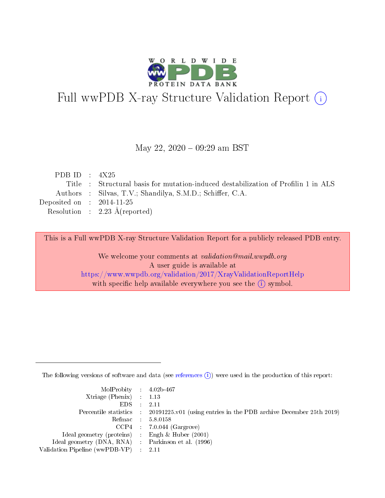

# Full wwPDB X-ray Structure Validation Report (i)

#### May 22, 2020 - 09:29 am BST

| PDB ID : $4X25$             |                                                                                    |
|-----------------------------|------------------------------------------------------------------------------------|
|                             | Title : Structural basis for mutation-induced destabilization of Profilin 1 in ALS |
|                             | Authors : Silvas, T.V.; Shandilya, S.M.D.; Schiffer, C.A.                          |
| Deposited on : $2014-11-25$ |                                                                                    |
|                             | Resolution : $2.23 \text{ Å}$ (reported)                                           |
|                             |                                                                                    |

This is a Full wwPDB X-ray Structure Validation Report for a publicly released PDB entry.

We welcome your comments at validation@mail.wwpdb.org A user guide is available at <https://www.wwpdb.org/validation/2017/XrayValidationReportHelp> with specific help available everywhere you see the  $(i)$  symbol.

The following versions of software and data (see [references](https://www.wwpdb.org/validation/2017/XrayValidationReportHelp#references)  $(i)$ ) were used in the production of this report:

| MolProbity : $4.02b-467$                            |                                                                                            |
|-----------------------------------------------------|--------------------------------------------------------------------------------------------|
| Xtriage (Phenix) $: 1.13$                           |                                                                                            |
| EDS -                                               | 2.11                                                                                       |
|                                                     | Percentile statistics : 20191225.v01 (using entries in the PDB archive December 25th 2019) |
|                                                     | Refmac 58.0158                                                                             |
|                                                     | $CCP4$ 7.0.044 (Gargrove)                                                                  |
| Ideal geometry (proteins) : Engh $\&$ Huber (2001)  |                                                                                            |
| Ideal geometry (DNA, RNA) : Parkinson et al. (1996) |                                                                                            |
| Validation Pipeline (wwPDB-VP)                      | -2.11                                                                                      |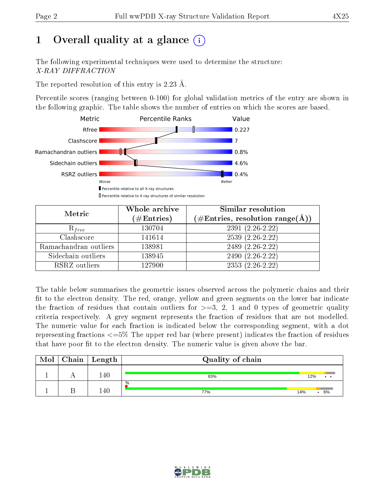# 1 [O](https://www.wwpdb.org/validation/2017/XrayValidationReportHelp#overall_quality)verall quality at a glance  $(i)$

The following experimental techniques were used to determine the structure: X-RAY DIFFRACTION

The reported resolution of this entry is 2.23 Å.

Percentile scores (ranging between 0-100) for global validation metrics of the entry are shown in the following graphic. The table shows the number of entries on which the scores are based.



| Metric                | Whole archive<br>$(\#\mathrm{Entries})$ | Similar resolution<br>$(\#\text{Entries}, \, \text{resolution range}(\textup{\AA}))$ |
|-----------------------|-----------------------------------------|--------------------------------------------------------------------------------------|
| $R_{free}$            | 130704                                  | $2391(2.26-2.22)$                                                                    |
| Clashscore            | 141614                                  | $2539(2.26-2.22)$                                                                    |
| Ramachandran outliers | 138981                                  | $2489(2.26-2.22)$                                                                    |
| Sidechain outliers    | 138945                                  | $2490(2.26-2.22)$                                                                    |
| RSRZ outliers         | 127900                                  | $2353(2.26-2.22)$                                                                    |

The table below summarises the geometric issues observed across the polymeric chains and their fit to the electron density. The red, orange, yellow and green segments on the lower bar indicate the fraction of residues that contain outliers for  $>=3, 2, 1$  and 0 types of geometric quality criteria respectively. A grey segment represents the fraction of residues that are not modelled. The numeric value for each fraction is indicated below the corresponding segment, with a dot representing fractions  $\epsilon=5\%$  The upper red bar (where present) indicates the fraction of residues that have poor fit to the electron density. The numeric value is given above the bar.

| Mol | ${\rm Chain \mid Length}$ | Quality of chain |     |                 |
|-----|---------------------------|------------------|-----|-----------------|
|     | 140                       | 83%              | 12% | $\cdot$ $\cdot$ |
|     | .40                       | $\%$<br>77%      | 14% | 6%              |

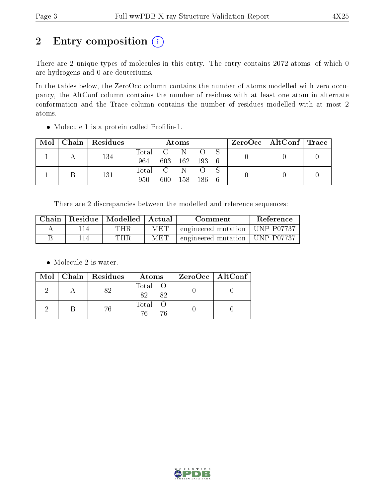# 2 Entry composition (i)

There are 2 unique types of molecules in this entry. The entry contains 2072 atoms, of which 0 are hydrogens and 0 are deuteriums.

In the tables below, the ZeroOcc column contains the number of atoms modelled with zero occupancy, the AltConf column contains the number of residues with at least one atom in alternate conformation and the Trace column contains the number of residues modelled with at most 2 atoms.

| Mol | Chain   Residues | Atoms                                                    |  |               |       |  | $\text{ZeroOcc}$   AltConf   Trace |  |
|-----|------------------|----------------------------------------------------------|--|---------------|-------|--|------------------------------------|--|
|     |                  | $\begin{array}{ccc} \text{Total} & \text{C} \end{array}$ |  |               |       |  |                                    |  |
|     | 134              | 964                                                      |  | 603 162 193 6 |       |  |                                    |  |
|     |                  | Total C                                                  |  |               |       |  |                                    |  |
|     | 131              | 950                                                      |  | 600 158       | - 186 |  |                                    |  |

 $\bullet$  Molecule 1 is a protein called Profilin-1.

There are 2 discrepancies between the modelled and reference sequences:

| Chain | Residue   Modelled | Actual | Comment             | <b>Reference</b> |
|-------|--------------------|--------|---------------------|------------------|
|       | THR.               | МЕТ    | engineered mutation | UNP P07737       |
|       | THR                | MET    | engineered mutation | + UNP P07737 +   |

• Molecule 2 is water.

|  | $Mol$   Chain   Residues | Atoms               | ZeroOcc   AltConf |
|--|--------------------------|---------------------|-------------------|
|  | 89                       | Total O<br>82<br>82 |                   |
|  | 76                       | Total O<br>76<br>76 |                   |

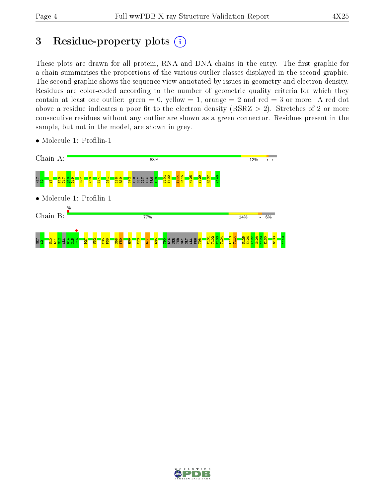# 3 Residue-property plots  $(i)$

These plots are drawn for all protein, RNA and DNA chains in the entry. The first graphic for a chain summarises the proportions of the various outlier classes displayed in the second graphic. The second graphic shows the sequence view annotated by issues in geometry and electron density. Residues are color-coded according to the number of geometric quality criteria for which they contain at least one outlier: green  $= 0$ , yellow  $= 1$ , orange  $= 2$  and red  $= 3$  or more. A red dot above a residue indicates a poor fit to the electron density (RSRZ  $> 2$ ). Stretches of 2 or more consecutive residues without any outlier are shown as a green connector. Residues present in the sample, but not in the model, are shown in grey.



• Molecule 1: Profilin-1

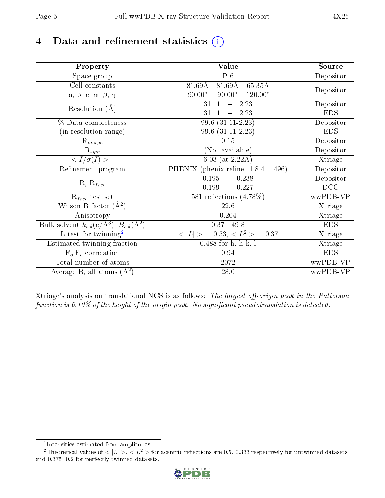# 4 Data and refinement statistics  $(i)$

| Property                                                             | Value                                              | Source     |
|----------------------------------------------------------------------|----------------------------------------------------|------------|
| Space group                                                          | $P_6$                                              | Depositor  |
| Cell constants                                                       | $81.69\text{\AA}$<br>65.35Å<br>81.69Å              | Depositor  |
| a, b, c, $\alpha$ , $\beta$ , $\gamma$                               | $120.00^{\circ}$<br>$90.00^\circ$<br>$90.00^\circ$ |            |
| Resolution $(A)$                                                     | 31.11<br>2.23<br>$\frac{1}{2}$                     | Depositor  |
|                                                                      | 31.11<br>2.23<br>$\equiv$                          | <b>EDS</b> |
| % Data completeness                                                  | 99.6 (31.11-2.23)                                  | Depositor  |
| (in resolution range)                                                | 99.6 (31.11-2.23)                                  | <b>EDS</b> |
| $R_{merge}$                                                          | 0.15                                               | Depositor  |
| $\mathrm{R}_{sym}$                                                   | (Not available)                                    | Depositor  |
| $\langle I/\sigma(I) \rangle^{-1}$                                   | 6.03 (at $2.22\text{\AA}$ )                        | Xtriage    |
| Refinement program                                                   | PHENIX (phenix.refine: 1.8.4 1496)                 | Depositor  |
|                                                                      | $\overline{0.195}$ ,<br>0.238                      | Depositor  |
| $R, R_{free}$                                                        | 0.199<br>0.227<br>$\mathcal{L}$                    | DCC        |
| $R_{free}$ test set                                                  | 581 reflections $(4.78\%)$                         | wwPDB-VP   |
| Wilson B-factor $(A^2)$                                              | 22.6                                               | Xtriage    |
| Anisotropy                                                           | 0.204                                              | Xtriage    |
| Bulk solvent $k_{sol}(e/\mathring{A}^3)$ , $B_{sol}(\mathring{A}^2)$ | $0.37$ , 49.8                                      | <b>EDS</b> |
| L-test for twinning <sup>2</sup>                                     | $>$ = 0.53, < $L^2$ > = 0.37<br>< L                | Xtriage    |
| Estimated twinning fraction                                          | $0.488$ for h,-h-k,-l                              | Xtriage    |
| $F_o, F_c$ correlation                                               | 0.94                                               | <b>EDS</b> |
| Total number of atoms                                                | $20\,72$                                           | wwPDB-VP   |
| Average B, all atoms $(A^2)$                                         | $28.0\,$                                           | wwPDB-VP   |

Xtriage's analysis on translational NCS is as follows: The largest off-origin peak in the Patterson function is  $6.10\%$  of the height of the origin peak. No significant pseudotranslation is detected.

<sup>&</sup>lt;sup>2</sup>Theoretical values of  $\langle |L| \rangle$ ,  $\langle L^2 \rangle$  for acentric reflections are 0.5, 0.333 respectively for untwinned datasets, and 0.375, 0.2 for perfectly twinned datasets.



<span id="page-4-1"></span><span id="page-4-0"></span><sup>1</sup> Intensities estimated from amplitudes.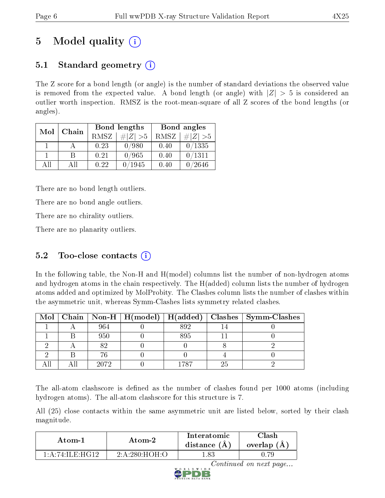# 5 Model quality  $(i)$

## 5.1 Standard geometry  $\overline{()}$

The Z score for a bond length (or angle) is the number of standard deviations the observed value is removed from the expected value. A bond length (or angle) with  $|Z| > 5$  is considered an outlier worth inspection. RMSZ is the root-mean-square of all Z scores of the bond lengths (or angles).

| Mol | Chain |      | Bond lengths | Bond angles |               |  |
|-----|-------|------|--------------|-------------|---------------|--|
|     |       | RMSZ | # $ Z  > 5$  | RMSZ        | # $ Z  > 5$   |  |
|     |       | 0.23 | 0/980        | 0.40        | 0/1335        |  |
|     | В     | 0.21 | 0/965        | 0.40        | 0/1311        |  |
| AH  | Αll   | 0.22 | /1945        | 0.40        | $^\prime2646$ |  |

There are no bond length outliers.

There are no bond angle outliers.

There are no chirality outliers.

There are no planarity outliers.

### $5.2$  Too-close contacts  $(i)$

In the following table, the Non-H and H(model) columns list the number of non-hydrogen atoms and hydrogen atoms in the chain respectively. The H(added) column lists the number of hydrogen atoms added and optimized by MolProbity. The Clashes column lists the number of clashes within the asymmetric unit, whereas Symm-Clashes lists symmetry related clashes.

|  |      |      | Mol   Chain   Non-H   H(model)   H(added)   Clashes   Symm-Clashes |
|--|------|------|--------------------------------------------------------------------|
|  | 964  | 892  |                                                                    |
|  | 950  | 395  |                                                                    |
|  |      |      |                                                                    |
|  |      |      |                                                                    |
|  | 2072 | 1787 |                                                                    |

The all-atom clashscore is defined as the number of clashes found per 1000 atoms (including hydrogen atoms). The all-atom clashscore for this structure is 7.

All (25) close contacts within the same asymmetric unit are listed below, sorted by their clash magnitude.

| Atom-1               | Atom-2                   | Interatomic<br>distance (A) | 7lash.<br>overlap $(A)$ |
|----------------------|--------------------------|-----------------------------|-------------------------|
| $1:$ A:74: ILE: HG12 | $2: A: 280: HOH \cdot O$ | .83                         |                         |



Continued on next page...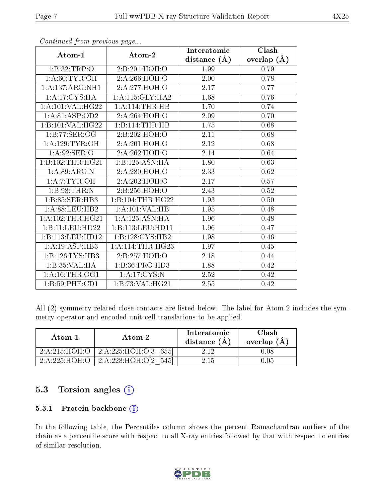|                               |                    | Interatomic    | Clash         |
|-------------------------------|--------------------|----------------|---------------|
| Atom-1                        | Atom-2             | distance $(A)$ | overlap $(A)$ |
| 1:B:32:TRP:O                  | 2:B:201:HOH:O      | 1.99           | 0.79          |
| $1: A:60: TYR: \overline{OH}$ | 2: A:266: HOH:O    | 2.00           | 0.78          |
| 1: A:137: ARG:NH1             | 2:A:277:HOH:O      | 2.17           | 0.77          |
| 1:A:17:CYS:HA                 | 1: A:115: GLY:HA2  | 1.68           | 0.76          |
| 1:A:101:VAL:HG22              | 1: A:114:THR:HB    | 1.70           | 0.74          |
| 1:A:81:ASP:OD2                | 2:A:264:HOH:O      | 2.09           | 0.70          |
| 1:B:101:VAL:HG22              | 1:B:114:THR:HB     | 1.75           | 0.68          |
| 1:B:77:SER:OG                 | 2:B:202:HOH:O      | 2.11           | 0.68          |
| 1: A:129: TYR:OH              | 2:A:201:HOH:O      | 2.12           | 0.68          |
| 1: A:92: SER:O                | 2:A:262:HOH:O      | 2.14           | 0.64          |
| 1:B:102:THR:HG21              | 1:B:125:ASN:HA     | 1.80           | 0.63          |
| 1:A:89:ARG:N                  | 2:A:280:HOH:O      | 2.33           | 0.62          |
| 1:A:7:TYR:OH                  | 2:A:202:HOH:O      | 2.17           | 0.57          |
| 1:B:98:THR:N                  | 2:B:256:HOH:O      | 2.43           | 0.52          |
| 1:B:85:SER:HB3                | 1:B:104:THR:HG22   | 1.93           | 0.50          |
| 1: A:88:LEU:HB2               | 1: A: 101: VAL: HB | 1.95           | 0.48          |
| 1: A:102:THR:HG21             | 1:A:125:ASN:HA     | 1.96           | 0.48          |
| 1:B:11:EU:HD22                | 1:B:113:LEU:HD11   | 1.96           | 0.47          |
| 1:B:113:LEU:HD12              | 1:B:128:CYS:HB2    | 1.98           | 0.46          |
| 1:A:19:ASP:HB3                | 1: A:114:THR:HG23  | 1.97           | $0.45\,$      |
| 1:B:126:LYS:HB3               | 2:B:257:HOH:O      | 2.18           | 0.44          |
| 1:B:35:VAL:HA                 | 1:B:36:PRO:HD3     | 1.88           | 0.42          |
| 1: A:16:THR:OG1               | 1: A:17: CYS:N     | 2.52           | 0.42          |
| 1:B:59:PHE:CD1                | 1:B:73:VAL:H G21   | 2.55           | 0.42          |

Continued from previous page...

All (2) symmetry-related close contacts are listed below. The label for Atom-2 includes the symmetry operator and encoded unit-cell translations to be applied.

| Atom-1        | Atom-2                               | Interatomic<br>distance $(A)$ | Clash<br>overlap $(A)$ |
|---------------|--------------------------------------|-------------------------------|------------------------|
|               | 2:A:215:HOH:O   2:A:225:HOH:O[3 655] | 2.12                          | 1.08                   |
| 2:A:225:HOH:O | 2:A:228:HOH:O[2<br>5451              | 2 15                          |                        |

### 5.3 Torsion angles (i)

#### 5.3.1 Protein backbone (i)

In the following table, the Percentiles column shows the percent Ramachandran outliers of the chain as a percentile score with respect to all X-ray entries followed by that with respect to entries of similar resolution.

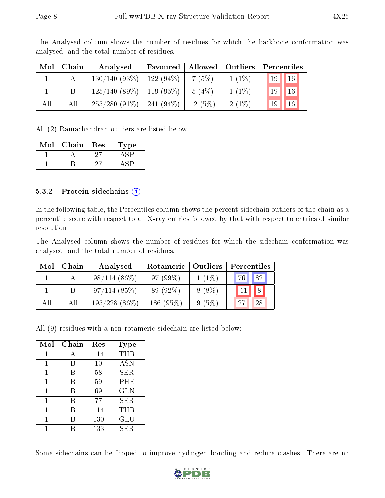| Mol | Chain | Analysed                      | Favoured  | Allowed   Outliers |          | Percentiles                        |  |
|-----|-------|-------------------------------|-----------|--------------------|----------|------------------------------------|--|
|     |       | 130/140(93%)                  | 122 (94%) | 7(5%)              | $1(1\%)$ | $\sqrt{16}$<br>19                  |  |
|     |       | $125/140$ (89\%)   119 (95\%) |           | $5(4\%)$           | $1(1\%)$ | 16 <sup>1</sup><br>19 <sub>1</sub> |  |
| All | All   | $255/280(91\%)$               | 241 (94%) | 12(5%)             | 2(1%)    | 16 <sup>1</sup><br>19 <sub>1</sub> |  |

The Analysed column shows the number of residues for which the backbone conformation was analysed, and the total number of residues.

All (2) Ramachandran outliers are listed below:

| Mol | Chain | Res | Type |
|-----|-------|-----|------|
|     |       |     |      |
|     |       |     |      |

#### 5.3.2 Protein sidechains  $(i)$

In the following table, the Percentiles column shows the percent sidechain outliers of the chain as a percentile score with respect to all X-ray entries followed by that with respect to entries of similar resolution.

The Analysed column shows the number of residues for which the sidechain conformation was analysed, and the total number of residues.

| Mol | Chain | Analysed         | Rotameric    | Outliers | Percentiles |    |
|-----|-------|------------------|--------------|----------|-------------|----|
|     |       | $98/114(86\%)$   | $97(99\%)$   | $1(1\%)$ | <b>76</b>   | 82 |
|     |       | 97/114(85%)      | 89 (92\%)    | $8(8\%)$ |             | 8  |
| All | All   | $195/228$ (86\%) | 186 $(95\%)$ | 9(5%)    | 27          | 28 |

All (9) residues with a non-rotameric sidechain are listed below:

| Mol | Chain | Res | Type       |
|-----|-------|-----|------------|
| 1   | А     | 114 | THR        |
| 1   | В     | 10  | <b>ASN</b> |
| 1   | В     | 58  | SER        |
| 1   | B     | 59  | PHE        |
| 1   | В     | 69  | <b>GLN</b> |
| 1   | В     | 77  | <b>SER</b> |
| 1   | R     | 114 | THR        |
| 1   | R     | 130 | GLU        |
|     |       | 133 | SER.       |

Some sidechains can be flipped to improve hydrogen bonding and reduce clashes. There are no

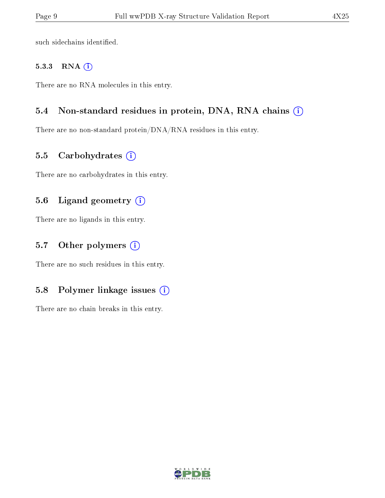such sidechains identified.

#### 5.3.3 RNA [O](https://www.wwpdb.org/validation/2017/XrayValidationReportHelp#rna)i

There are no RNA molecules in this entry.

#### 5.4 Non-standard residues in protein, DNA, RNA chains (i)

There are no non-standard protein/DNA/RNA residues in this entry.

#### 5.5 Carbohydrates  $(i)$

There are no carbohydrates in this entry.

#### 5.6 Ligand geometry (i)

There are no ligands in this entry.

### 5.7 [O](https://www.wwpdb.org/validation/2017/XrayValidationReportHelp#nonstandard_residues_and_ligands)ther polymers  $(i)$

There are no such residues in this entry.

### 5.8 Polymer linkage issues  $(i)$

There are no chain breaks in this entry.